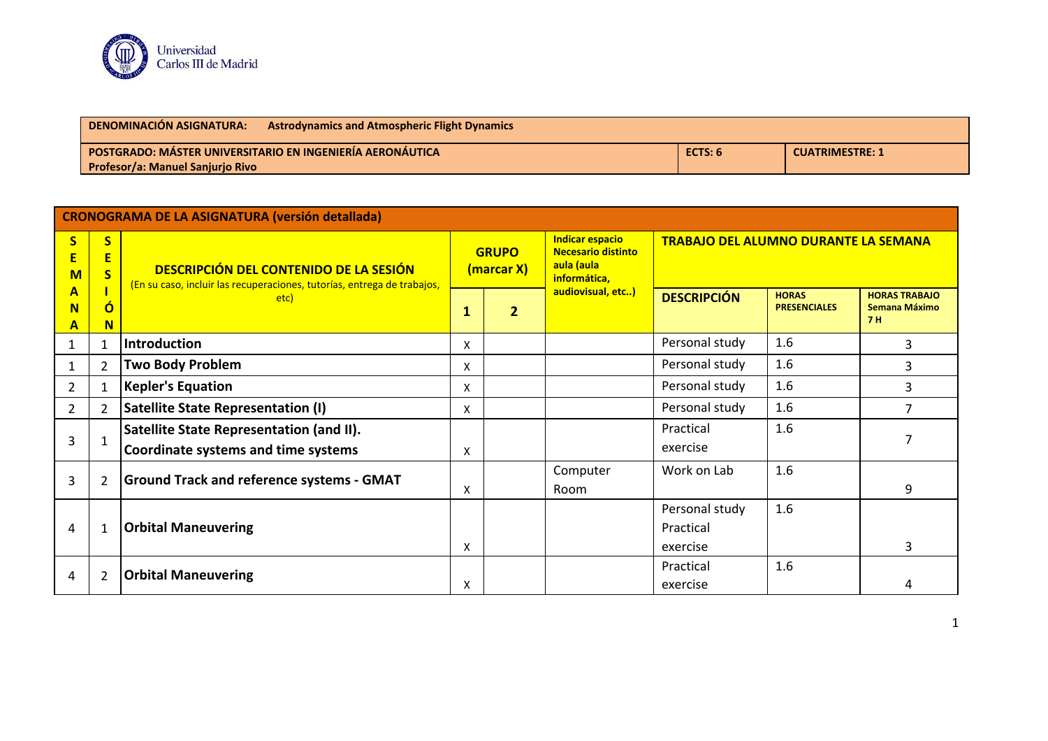

| <b>DENOMINACIÓN ASIGNATURA:</b>                                  | <b>Astrodynamics and Atmospheric Flight Dynamics</b> |                        |  |
|------------------------------------------------------------------|------------------------------------------------------|------------------------|--|
| <b>POSTGRADO: MÁSTER UNIVERSITARIO EN INGENIERÍA AERONÁUTICA</b> | ECTS: 6                                              | <b>CUATRIMESTRE: 1</b> |  |
| <b>Profesor/a: Manuel Sanjurio Rivo</b>                          |                                                      |                        |  |

| <b>CRONOGRAMA DE LA ASIGNATURA (versión detallada)</b> |                                                         |                                                                                                                                  |                            |                |                                                                                   |                                             |                                     |                                                    |
|--------------------------------------------------------|---------------------------------------------------------|----------------------------------------------------------------------------------------------------------------------------------|----------------------------|----------------|-----------------------------------------------------------------------------------|---------------------------------------------|-------------------------------------|----------------------------------------------------|
| $\overline{\mathbf{S}}$<br>E<br>$M$                    | $\overline{\mathbf{S}}$<br>Ε<br>$\overline{\mathbf{S}}$ | <b>DESCRIPCIÓN DEL CONTENIDO DE LA SESIÓN</b><br>(En su caso, incluir las recuperaciones, tutorías, entrega de trabajos,<br>etc) | <b>GRUPO</b><br>(marcar X) |                | <b>Indicar espacio</b><br><b>Necesario distinto</b><br>aula (aula<br>informática, | <b>TRABAJO DEL ALUMNO DURANTE LA SEMANA</b> |                                     |                                                    |
| A<br>N<br>A                                            | $\mathbf 0$<br>N                                        |                                                                                                                                  | $\mathbf{1}$               | $\overline{2}$ | audiovisual, etc)                                                                 | <b>DESCRIPCIÓN</b>                          | <b>HORAS</b><br><b>PRESENCIALES</b> | <b>HORAS TRABAJO</b><br>Semana Máximo<br><b>7H</b> |
|                                                        | $\mathbf{1}$                                            | <b>Introduction</b>                                                                                                              | $\boldsymbol{\mathsf{X}}$  |                |                                                                                   | Personal study                              | 1.6                                 | 3                                                  |
|                                                        | $\overline{2}$                                          | <b>Two Body Problem</b>                                                                                                          | X                          |                |                                                                                   | Personal study                              | 1.6                                 | 3                                                  |
| 2                                                      | $\mathbf{1}$                                            | <b>Kepler's Equation</b>                                                                                                         | X                          |                |                                                                                   | Personal study                              | 1.6                                 | 3                                                  |
| 2                                                      | $\overline{2}$                                          | <b>Satellite State Representation (I)</b>                                                                                        | X                          |                |                                                                                   | Personal study                              | 1.6                                 | 7                                                  |
| 3                                                      | $\mathbf{1}$                                            | Satellite State Representation (and II).<br><b>Coordinate systems and time systems</b>                                           | X                          |                |                                                                                   | Practical<br>exercise                       | 1.6                                 | 7                                                  |
| 3                                                      | $\overline{2}$                                          | <b>Ground Track and reference systems - GMAT</b>                                                                                 | X                          |                | Computer<br>Room                                                                  | Work on Lab                                 | 1.6                                 | 9                                                  |
| 4                                                      | $\mathbf{1}$                                            | <b>Orbital Maneuvering</b>                                                                                                       | X                          |                |                                                                                   | Personal study<br>Practical<br>exercise     | 1.6                                 | 3                                                  |
| 4                                                      | $\overline{2}$                                          | <b>Orbital Maneuvering</b>                                                                                                       | X                          |                |                                                                                   | Practical<br>exercise                       | 1.6                                 | 4                                                  |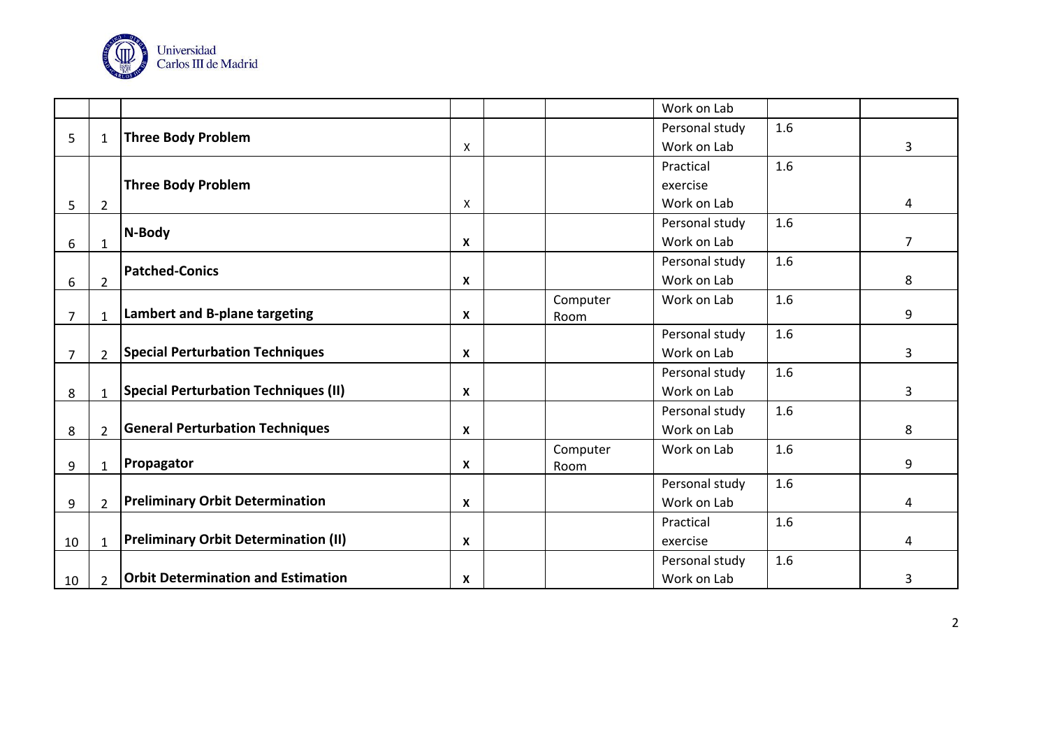

|                |                |                                             |                           |          | Work on Lab    |     |                |
|----------------|----------------|---------------------------------------------|---------------------------|----------|----------------|-----|----------------|
|                |                | <b>Three Body Problem</b>                   |                           |          | Personal study | 1.6 |                |
| 5              | $\mathbf{1}$   |                                             | X                         |          | Work on Lab    |     | 3              |
|                |                |                                             |                           |          | Practical      | 1.6 |                |
|                |                | <b>Three Body Problem</b>                   |                           |          | exercise       |     |                |
| 5              | $\overline{2}$ |                                             | Χ                         |          | Work on Lab    |     | 4              |
|                |                | N-Body                                      |                           |          | Personal study | 1.6 |                |
| 6              | $\mathbf{1}$   |                                             | $\boldsymbol{\mathsf{X}}$ |          | Work on Lab    |     | $\overline{7}$ |
|                |                | <b>Patched-Conics</b>                       |                           |          | Personal study | 1.6 |                |
| 6              | $\overline{2}$ |                                             | $\boldsymbol{\mathsf{x}}$ |          | Work on Lab    |     | 8              |
|                |                |                                             |                           | Computer | Work on Lab    | 1.6 |                |
| $\overline{7}$ | $\mathbf{1}$   | Lambert and B-plane targeting               | $\boldsymbol{\mathsf{x}}$ | Room     |                |     | 9              |
|                |                |                                             |                           |          | Personal study | 1.6 |                |
| 7              | $\overline{2}$ | <b>Special Perturbation Techniques</b>      | $\boldsymbol{\mathsf{x}}$ |          | Work on Lab    |     | 3              |
|                |                |                                             |                           |          | Personal study | 1.6 |                |
| 8              | $\mathbf{1}$   | <b>Special Perturbation Techniques (II)</b> | $\boldsymbol{\mathsf{X}}$ |          | Work on Lab    |     | 3              |
|                |                |                                             |                           |          | Personal study | 1.6 |                |
| 8              | $\overline{2}$ | <b>General Perturbation Techniques</b>      | $\boldsymbol{\mathsf{X}}$ |          | Work on Lab    |     | 8              |
|                |                |                                             |                           | Computer | Work on Lab    | 1.6 |                |
| 9              | $\mathbf{1}$   | Propagator                                  | $\boldsymbol{\mathsf{x}}$ | Room     |                |     | 9              |
|                |                |                                             |                           |          | Personal study | 1.6 |                |
| 9              | $\overline{2}$ | <b>Preliminary Orbit Determination</b>      | $\boldsymbol{\mathsf{x}}$ |          | Work on Lab    |     | 4              |
|                |                |                                             |                           |          | Practical      | 1.6 |                |
| 10             | $\mathbf{1}$   | <b>Preliminary Orbit Determination (II)</b> | $\boldsymbol{\mathsf{x}}$ |          | exercise       |     | 4              |
|                |                |                                             |                           |          | Personal study | 1.6 |                |
| 10             | $\overline{2}$ | <b>Orbit Determination and Estimation</b>   | $\boldsymbol{\mathsf{x}}$ |          | Work on Lab    |     | 3              |